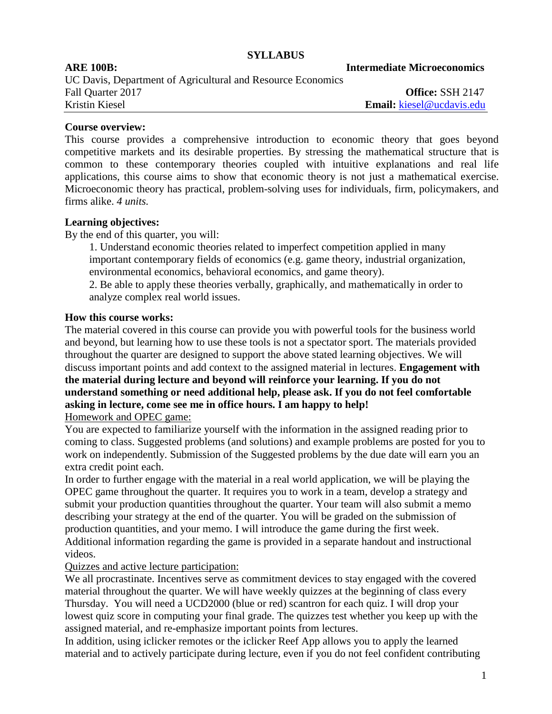#### **SYLLABUS**

**ARE 100B: Intermediate Microeconomics**

UC Davis, Department of Agricultural and Resource Economics Fall Quarter 2017<br> **Call Contract 2017**<br> **Call Contract 2017**<br> **Call Contract 2017**<br> **Call Contract 2017**<br> **Call Contract 2017**<br> **Call Contract 2017**<br> **Call Contract 2017**<br> **Call Contract 2017**<br> **Call Contract 2017** 

Kristin Kiesel **Email:** [kiesel@ucdavis.edu](mailto:kiesel@ucdavis.edu)

### **Course overview:**

This course provides a comprehensive introduction to economic theory that goes beyond competitive markets and its desirable properties. By stressing the mathematical structure that is common to these contemporary theories coupled with intuitive explanations and real life applications, this course aims to show that economic theory is not just a mathematical exercise. Microeconomic theory has practical, problem-solving uses for individuals, firm, policymakers, and firms alike. *4 units.* 

### **Learning objectives:**

By the end of this quarter, you will:

1. Understand economic theories related to imperfect competition applied in many important contemporary fields of economics (e.g. game theory, industrial organization, environmental economics, behavioral economics, and game theory).

2. Be able to apply these theories verbally, graphically, and mathematically in order to analyze complex real world issues.

### **How this course works:**

The material covered in this course can provide you with powerful tools for the business world and beyond, but learning how to use these tools is not a spectator sport. The materials provided throughout the quarter are designed to support the above stated learning objectives. We will discuss important points and add context to the assigned material in lectures. **Engagement with the material during lecture and beyond will reinforce your learning. If you do not understand something or need additional help, please ask. If you do not feel comfortable asking in lecture, come see me in office hours. I am happy to help!** Homework and OPEC game:

You are expected to familiarize yourself with the information in the assigned reading prior to coming to class. Suggested problems (and solutions) and example problems are posted for you to work on independently. Submission of the Suggested problems by the due date will earn you an extra credit point each.

In order to further engage with the material in a real world application, we will be playing the OPEC game throughout the quarter. It requires you to work in a team, develop a strategy and submit your production quantities throughout the quarter. Your team will also submit a memo describing your strategy at the end of the quarter. You will be graded on the submission of production quantities, and your memo. I will introduce the game during the first week. Additional information regarding the game is provided in a separate handout and instructional videos.

## Quizzes and active lecture participation:

We all procrastinate. Incentives serve as commitment devices to stay engaged with the covered material throughout the quarter. We will have weekly quizzes at the beginning of class every Thursday. You will need a UCD2000 (blue or red) scantron for each quiz. I will drop your lowest quiz score in computing your final grade. The quizzes test whether you keep up with the assigned material, and re-emphasize important points from lectures.

In addition, using iclicker remotes or the iclicker Reef App allows you to apply the learned material and to actively participate during lecture, even if you do not feel confident contributing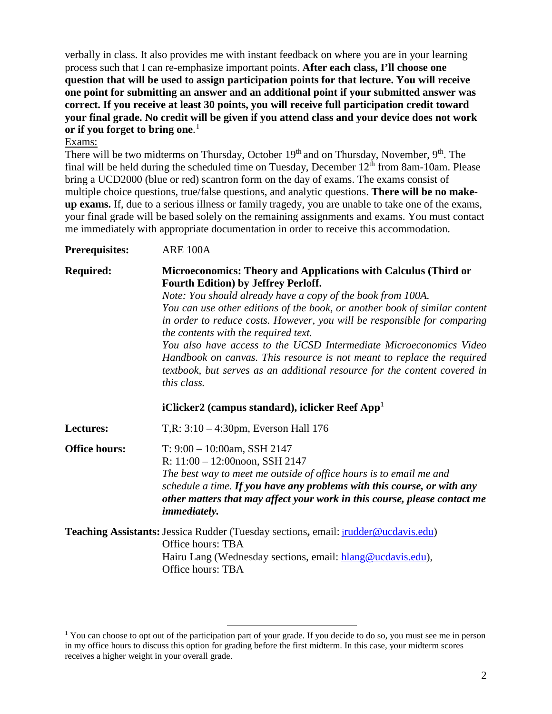verbally in class. It also provides me with instant feedback on where you are in your learning process such that I can re-emphasize important points. **After each class, I'll choose one question that will be used to assign participation points for that lecture. You will receive one point for submitting an answer and an additional point if your submitted answer was correct. If you receive at least 30 points, you will receive full participation credit toward your final grade. No credit will be given if you attend class and your device does not work or if you forget to bring one**. [1](#page-1-0)

#### Exams:

There will be two midterms on Thursday, October  $19<sup>th</sup>$  and on Thursday, November,  $9<sup>th</sup>$ . The final will be held during the scheduled time on Tuesday, December  $12<sup>th</sup>$  from 8am-10am. Please bring a UCD2000 (blue or red) scantron form on the day of exams. The exams consist of multiple choice questions, true/false questions, and analytic questions. **There will be no makeup exams.** If, due to a serious illness or family tragedy, you are unable to take one of the exams, your final grade will be based solely on the remaining assignments and exams. You must contact me immediately with appropriate documentation in order to receive this accommodation.

#### **Prerequisites:** ARE 100A

### **Required: Microeconomics: Theory and Applications with Calculus (Third or Fourth Edition) by Jeffrey Perloff.**

*Note: You should already have a copy of the book from 100A. You can use other editions of the book, or another book of similar content in order to reduce costs. However, you will be responsible for comparing the contents with the required text.* 

*You also have access to the UCSD Intermediate Microeconomics Video Handbook on canvas. This resource is not meant to replace the required textbook, but serves as an additional resource for the content covered in this class.*

## **iClicker2** (campus standard), iclicker Reef App<sup>1</sup>

**Lectures:** T,R: 3:10 – 4:30pm, Everson Hall 176

**Office hours:** T: 9:00 – 10:00am, SSH 2147 R: 11:00 – 12:00noon, SSH 2147 *The best way to meet me outside of office hours is to email me and schedule a time. If you have any problems with this course, or with any other matters that may affect your work in this course, please contact me immediately.*

**Teaching Assistants:**Jessica Rudder (Tuesday sections**,** email: [jrudder@ucdavis.edu\)](mailto:jrudder@ucdavis.edu) Office hours: TBA Hairu Lang (Wednesday sections, email: [hlang@ucdavis.edu\)](mailto:hlang@ucdavis.edu), Office hours: TBA

<span id="page-1-0"></span><sup>&</sup>lt;sup>1</sup> You can choose to opt out of the participation part of your grade. If you decide to do so, you must see me in person in my office hours to discuss this option for grading before the first midterm. In this case, your midterm scores receives a higher weight in your overall grade.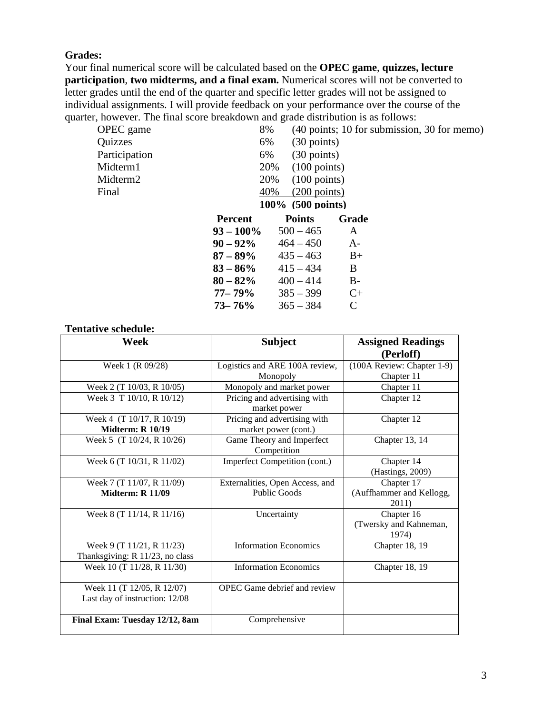### **Grades:**

Your final numerical score will be calculated based on the **OPEC game**, **quizzes, lecture participation**, **two midterms, and a final exam.** Numerical scores will not be converted to letter grades until the end of the quarter and specific letter grades will not be assigned to individual assignments. I will provide feedback on your performance over the course of the quarter, however. The final score breakdown and grade distribution is as follows:

| OPEC game            | 8%             |                        | (40 points; 10 for submission, 30 for memo) |  |  |
|----------------------|----------------|------------------------|---------------------------------------------|--|--|
| <b>Quizzes</b>       | 6%             |                        | $(30 \text{ points})$                       |  |  |
| Participation        | 6%             | $(30 \text{ points})$  |                                             |  |  |
| Midterm1             | 20%            | $(100 \text{ points})$ |                                             |  |  |
| Midterm <sub>2</sub> | 20%            | $(100 \text{ points})$ |                                             |  |  |
| Final                | 40%            | $(200 \text{ points})$ |                                             |  |  |
| 100\% (500 points)   |                |                        |                                             |  |  |
|                      | <b>Percent</b> | <b>Points</b>          | Grade                                       |  |  |
|                      | $93 - 100\%$   | $500 - 465$            | A                                           |  |  |
|                      | $90 - 92\%$    | $464 - 450$            | $A-$                                        |  |  |
|                      | $87 - 89\%$    | $435 - 463$            | $B+$                                        |  |  |
|                      | $83 - 86\%$    | $415 - 434$            | B                                           |  |  |
|                      | $80 - 82\%$    | $400 - 414$            | $B -$                                       |  |  |
|                      | $77 - 79\%$    | $385 - 399$            | $C+$                                        |  |  |
|                      | $73 - 76\%$    | $365 - 384$            | C                                           |  |  |
|                      |                |                        |                                             |  |  |

#### **Tentative schedule:**

| Week                            | <b>Subject</b>                      | <b>Assigned Readings</b>     |
|---------------------------------|-------------------------------------|------------------------------|
|                                 |                                     | (Perloff)                    |
| Week 1 (R 09/28)                | Logistics and ARE 100A review,      | $(100A$ Review: Chapter 1-9) |
|                                 | Monopoly                            | Chapter 11                   |
| Week 2 (T 10/03, R 10/05)       | Monopoly and market power           | Chapter 11                   |
| Week 3 T 10/10, R 10/12)        | Pricing and advertising with        | Chapter 12                   |
|                                 | market power                        |                              |
| Week 4 (T 10/17, R 10/19)       | Pricing and advertising with        | Chapter 12                   |
| <b>Midterm: R 10/19</b>         | market power (cont.)                |                              |
| Week 5 (T 10/24, R 10/26)       | Game Theory and Imperfect           | Chapter 13, 14               |
|                                 | Competition                         |                              |
| Week 6 (T 10/31, R 11/02)       | Imperfect Competition (cont.)       | Chapter 14                   |
|                                 |                                     | (Hastings, 2009)             |
| Week 7 (T 11/07, R 11/09)       | Externalities, Open Access, and     | Chapter 17                   |
| <b>Midterm: R 11/09</b>         | <b>Public Goods</b>                 | (Auffhammer and Kellogg,     |
|                                 |                                     | 2011)                        |
| Week 8 (T 11/14, R 11/16)       | Uncertainty                         | Chapter 16                   |
|                                 |                                     | (Twersky and Kahneman,       |
|                                 |                                     | 1974)                        |
| Week 9 (T 11/21, R 11/23)       | <b>Information Economics</b>        | Chapter 18, 19               |
| Thanksgiving: R 11/23, no class |                                     |                              |
| Week 10 (T 11/28, R 11/30)      | <b>Information Economics</b>        | Chapter 18, 19               |
|                                 |                                     |                              |
| Week 11 (T 12/05, R 12/07)      | <b>OPEC</b> Game debrief and review |                              |
| Last day of instruction: 12/08  |                                     |                              |
|                                 |                                     |                              |
| Final Exam: Tuesday 12/12, 8am  | Comprehensive                       |                              |
|                                 |                                     |                              |